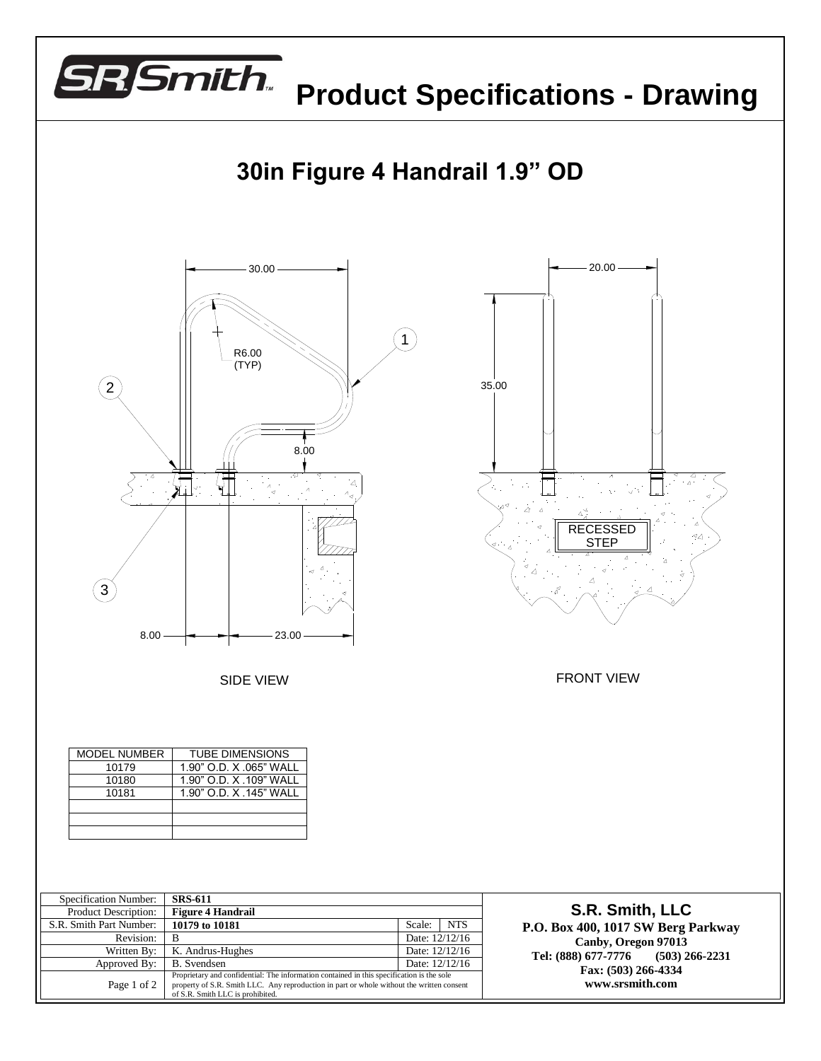